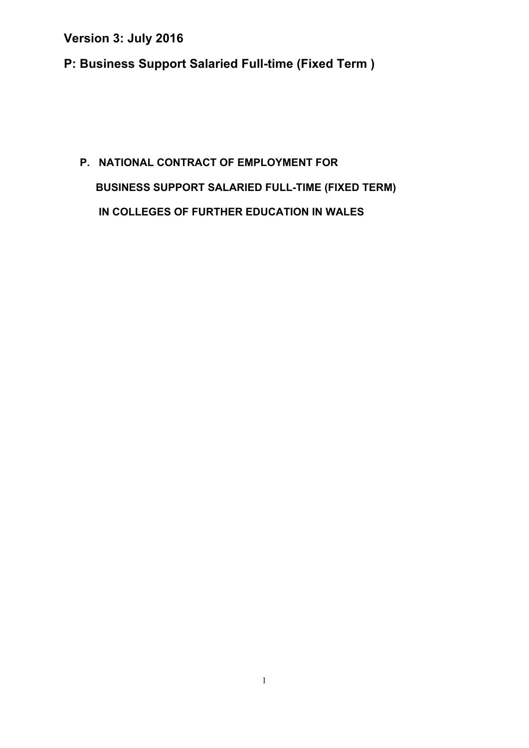**P: Business Support Salaried Full-time (Fixed Term )** 

# **P. NATIONAL CONTRACT OF EMPLOYMENT FOR BUSINESS SUPPORT SALARIED FULL-TIME (FIXED TERM) IN COLLEGES OF FURTHER EDUCATION IN WALES**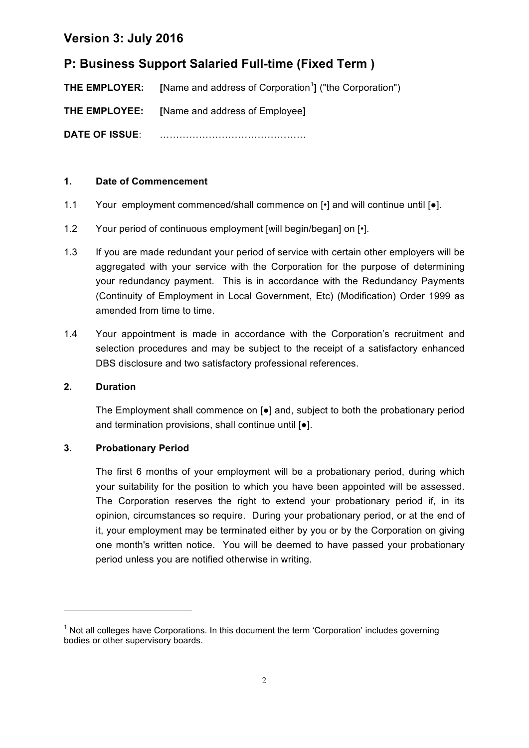## **P: Business Support Salaried Full-time (Fixed Term )**

**THE EMPLOYER:** [Name and address of Corporation<sup>1</sup>] ("the Corporation")

**THE EMPLOYEE: [**Name and address of Employee**]**

**DATE OF ISSUE**: ………………………………………

### **1. Date of Commencement**

- 1.1 Your employment commenced/shall commence on  $\lceil \cdot \rceil$  and will continue until  $\lceil \bullet \rceil$ .
- 1.2 Your period of continuous employment [will begin/began] on [ $\cdot$ ].
- 1.3 If you are made redundant your period of service with certain other employers will be aggregated with your service with the Corporation for the purpose of determining your redundancy payment. This is in accordance with the Redundancy Payments (Continuity of Employment in Local Government, Etc) (Modification) Order 1999 as amended from time to time.
- 1.4 Your appointment is made in accordance with the Corporation's recruitment and selection procedures and may be subject to the receipt of a satisfactory enhanced DBS disclosure and two satisfactory professional references.

### **2. Duration**

The Employment shall commence on [●] and, subject to both the probationary period and termination provisions, shall continue until [●].

### **3. Probationary Period**

<u> 1989 - Jan Samuel Barbara, margaret e</u>

The first 6 months of your employment will be a probationary period, during which your suitability for the position to which you have been appointed will be assessed. The Corporation reserves the right to extend your probationary period if, in its opinion, circumstances so require. During your probationary period, or at the end of it, your employment may be terminated either by you or by the Corporation on giving one month's written notice. You will be deemed to have passed your probationary period unless you are notified otherwise in writing.

 $<sup>1</sup>$  Not all colleges have Corporations. In this document the term 'Corporation' includes governing</sup> bodies or other supervisory boards.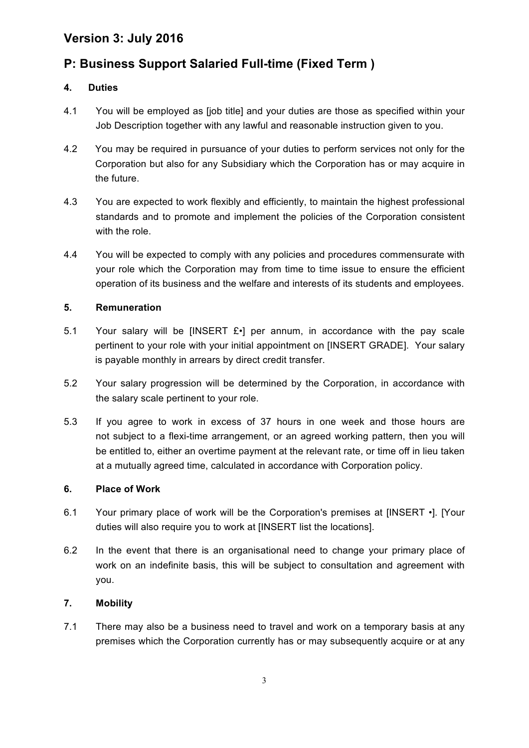## **P: Business Support Salaried Full-time (Fixed Term )**

### **4. Duties**

- 4.1 You will be employed as [job title] and your duties are those as specified within your Job Description together with any lawful and reasonable instruction given to you.
- 4.2 You may be required in pursuance of your duties to perform services not only for the Corporation but also for any Subsidiary which the Corporation has or may acquire in the future.
- 4.3 You are expected to work flexibly and efficiently, to maintain the highest professional standards and to promote and implement the policies of the Corporation consistent with the role.
- 4.4 You will be expected to comply with any policies and procedures commensurate with your role which the Corporation may from time to time issue to ensure the efficient operation of its business and the welfare and interests of its students and employees.

### **5. Remuneration**

- 5.1 Your salary will be [INSERT  $E \cdot$ ] per annum, in accordance with the pay scale pertinent to your role with your initial appointment on [INSERT GRADE]. Your salary is payable monthly in arrears by direct credit transfer.
- 5.2 Your salary progression will be determined by the Corporation, in accordance with the salary scale pertinent to your role.
- 5.3 If you agree to work in excess of 37 hours in one week and those hours are not subject to a flexi-time arrangement, or an agreed working pattern, then you will be entitled to, either an overtime payment at the relevant rate, or time off in lieu taken at a mutually agreed time, calculated in accordance with Corporation policy.

### **6. Place of Work**

- 6.1 Your primary place of work will be the Corporation's premises at [INSERT •]. [Your duties will also require you to work at [INSERT list the locations].
- 6.2 In the event that there is an organisational need to change your primary place of work on an indefinite basis, this will be subject to consultation and agreement with you.

### **7. Mobility**

7.1 There may also be a business need to travel and work on a temporary basis at any premises which the Corporation currently has or may subsequently acquire or at any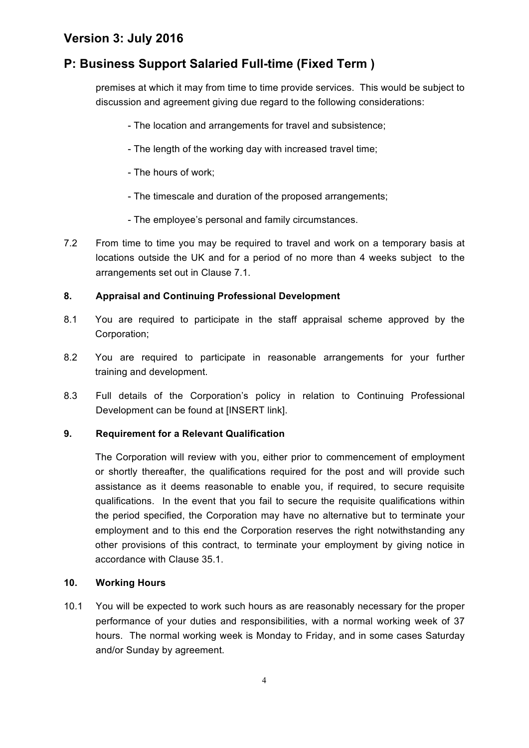## **P: Business Support Salaried Full-time (Fixed Term )**

premises at which it may from time to time provide services. This would be subject to discussion and agreement giving due regard to the following considerations:

- The location and arrangements for travel and subsistence;
- The length of the working day with increased travel time;
- The hours of work;
- The timescale and duration of the proposed arrangements;
- The employee's personal and family circumstances.
- 7.2 From time to time you may be required to travel and work on a temporary basis at locations outside the UK and for a period of no more than 4 weeks subject to the arrangements set out in Clause 7.1.

### **8. Appraisal and Continuing Professional Development**

- 8.1 You are required to participate in the staff appraisal scheme approved by the Corporation;
- 8.2 You are required to participate in reasonable arrangements for your further training and development.
- 8.3 Full details of the Corporation's policy in relation to Continuing Professional Development can be found at [INSERT link].

### **9. Requirement for a Relevant Qualification**

The Corporation will review with you, either prior to commencement of employment or shortly thereafter, the qualifications required for the post and will provide such assistance as it deems reasonable to enable you, if required, to secure requisite qualifications. In the event that you fail to secure the requisite qualifications within the period specified, the Corporation may have no alternative but to terminate your employment and to this end the Corporation reserves the right notwithstanding any other provisions of this contract, to terminate your employment by giving notice in accordance with Clause 35.1.

#### **10. Working Hours**

10.1 You will be expected to work such hours as are reasonably necessary for the proper performance of your duties and responsibilities, with a normal working week of 37 hours. The normal working week is Monday to Friday, and in some cases Saturday and/or Sunday by agreement.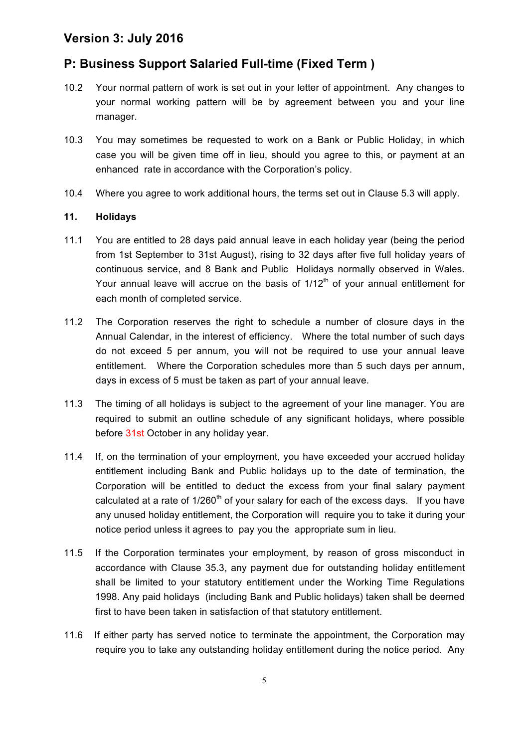## **P: Business Support Salaried Full-time (Fixed Term )**

- 10.2 Your normal pattern of work is set out in your letter of appointment. Any changes to your normal working pattern will be by agreement between you and your line manager.
- 10.3 You may sometimes be requested to work on a Bank or Public Holiday, in which case you will be given time off in lieu, should you agree to this, or payment at an enhanced rate in accordance with the Corporation's policy.
- 10.4 Where you agree to work additional hours, the terms set out in Clause 5.3 will apply.

#### **11. Holidays**

- 11.1 You are entitled to 28 days paid annual leave in each holiday year (being the period from 1st September to 31st August), rising to 32 days after five full holiday years of continuous service, and 8 Bank and Public Holidays normally observed in Wales. Your annual leave will accrue on the basis of  $1/12<sup>th</sup>$  of your annual entitlement for each month of completed service.
- 11.2 The Corporation reserves the right to schedule a number of closure days in the Annual Calendar, in the interest of efficiency. Where the total number of such days do not exceed 5 per annum, you will not be required to use your annual leave entitlement. Where the Corporation schedules more than 5 such days per annum, days in excess of 5 must be taken as part of your annual leave.
- 11.3 The timing of all holidays is subject to the agreement of your line manager. You are required to submit an outline schedule of any significant holidays, where possible before 31st October in any holiday year.
- 11.4 If, on the termination of your employment, you have exceeded your accrued holiday entitlement including Bank and Public holidays up to the date of termination, the Corporation will be entitled to deduct the excess from your final salary payment calculated at a rate of  $1/260<sup>th</sup>$  of your salary for each of the excess days. If you have any unused holiday entitlement, the Corporation will require you to take it during your notice period unless it agrees to pay you the appropriate sum in lieu.
- 11.5 If the Corporation terminates your employment, by reason of gross misconduct in accordance with Clause 35.3, any payment due for outstanding holiday entitlement shall be limited to your statutory entitlement under the Working Time Regulations 1998. Any paid holidays (including Bank and Public holidays) taken shall be deemed first to have been taken in satisfaction of that statutory entitlement.
- 11.6 If either party has served notice to terminate the appointment, the Corporation may require you to take any outstanding holiday entitlement during the notice period. Any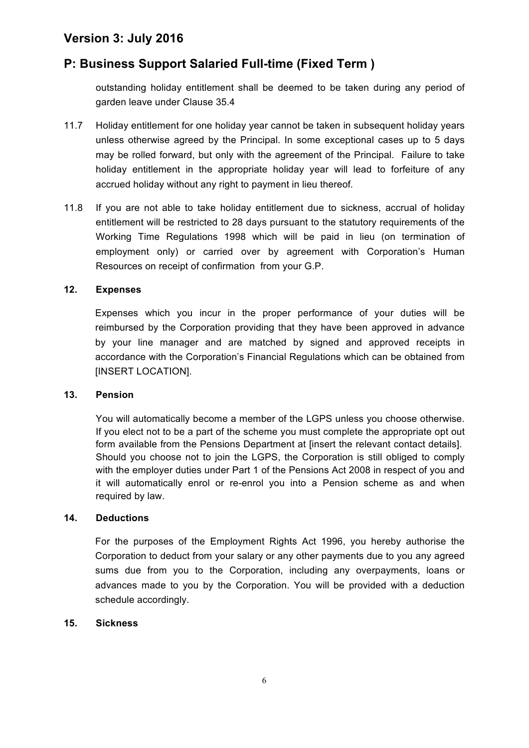## **P: Business Support Salaried Full-time (Fixed Term )**

outstanding holiday entitlement shall be deemed to be taken during any period of garden leave under Clause 35.4

- 11.7 Holiday entitlement for one holiday year cannot be taken in subsequent holiday years unless otherwise agreed by the Principal. In some exceptional cases up to 5 days may be rolled forward, but only with the agreement of the Principal. Failure to take holiday entitlement in the appropriate holiday year will lead to forfeiture of any accrued holiday without any right to payment in lieu thereof*.*
- 11.8 If you are not able to take holiday entitlement due to sickness, accrual of holiday entitlement will be restricted to 28 days pursuant to the statutory requirements of the Working Time Regulations 1998 which will be paid in lieu (on termination of employment only) or carried over by agreement with Corporation's Human Resources on receipt of confirmation from your G.P.

#### **12. Expenses**

Expenses which you incur in the proper performance of your duties will be reimbursed by the Corporation providing that they have been approved in advance by your line manager and are matched by signed and approved receipts in accordance with the Corporation's Financial Regulations which can be obtained from [INSERT LOCATION].

#### **13. Pension**

You will automatically become a member of the LGPS unless you choose otherwise. If you elect not to be a part of the scheme you must complete the appropriate opt out form available from the Pensions Department at [insert the relevant contact details]. Should you choose not to join the LGPS, the Corporation is still obliged to comply with the employer duties under Part 1 of the Pensions Act 2008 in respect of you and it will automatically enrol or re-enrol you into a Pension scheme as and when required by law.

#### **14. Deductions**

For the purposes of the Employment Rights Act 1996, you hereby authorise the Corporation to deduct from your salary or any other payments due to you any agreed sums due from you to the Corporation, including any overpayments, loans or advances made to you by the Corporation. You will be provided with a deduction schedule accordingly.

#### **15. Sickness**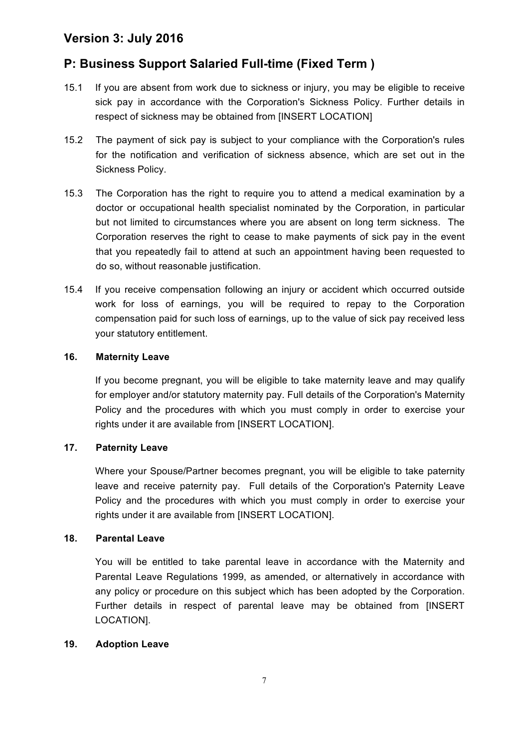## **P: Business Support Salaried Full-time (Fixed Term )**

- 15.1 If you are absent from work due to sickness or injury, you may be eligible to receive sick pay in accordance with the Corporation's Sickness Policy. Further details in respect of sickness may be obtained from [INSERT LOCATION]
- 15.2 The payment of sick pay is subject to your compliance with the Corporation's rules for the notification and verification of sickness absence, which are set out in the Sickness Policy.
- 15.3 The Corporation has the right to require you to attend a medical examination by a doctor or occupational health specialist nominated by the Corporation, in particular but not limited to circumstances where you are absent on long term sickness. The Corporation reserves the right to cease to make payments of sick pay in the event that you repeatedly fail to attend at such an appointment having been requested to do so, without reasonable justification.
- 15.4 If you receive compensation following an injury or accident which occurred outside work for loss of earnings, you will be required to repay to the Corporation compensation paid for such loss of earnings, up to the value of sick pay received less your statutory entitlement.

#### **16. Maternity Leave**

If you become pregnant, you will be eligible to take maternity leave and may qualify for employer and/or statutory maternity pay. Full details of the Corporation's Maternity Policy and the procedures with which you must comply in order to exercise your rights under it are available from [INSERT LOCATION].

### **17. Paternity Leave**

Where your Spouse/Partner becomes pregnant, you will be eligible to take paternity leave and receive paternity pay. Full details of the Corporation's Paternity Leave Policy and the procedures with which you must comply in order to exercise your rights under it are available from [INSERT LOCATION].

#### **18. Parental Leave**

You will be entitled to take parental leave in accordance with the Maternity and Parental Leave Regulations 1999, as amended, or alternatively in accordance with any policy or procedure on this subject which has been adopted by the Corporation. Further details in respect of parental leave may be obtained from [INSERT LOCATION].

#### **19. Adoption Leave**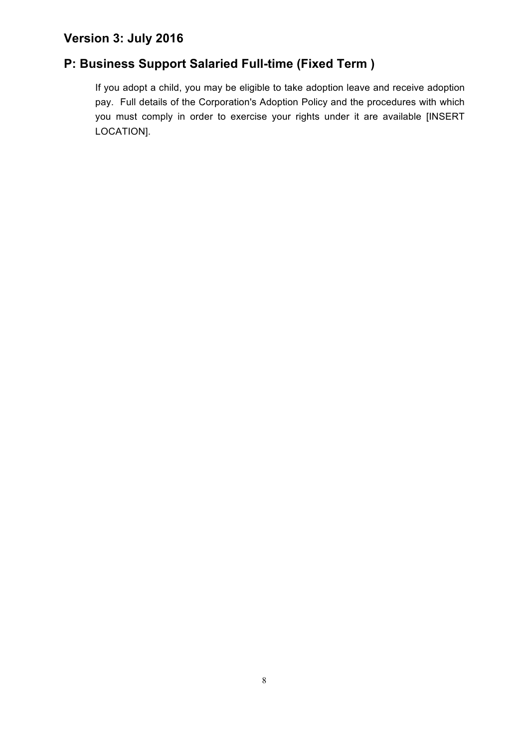## **P: Business Support Salaried Full-time (Fixed Term )**

If you adopt a child, you may be eligible to take adoption leave and receive adoption pay. Full details of the Corporation's Adoption Policy and the procedures with which you must comply in order to exercise your rights under it are available [INSERT LOCATION].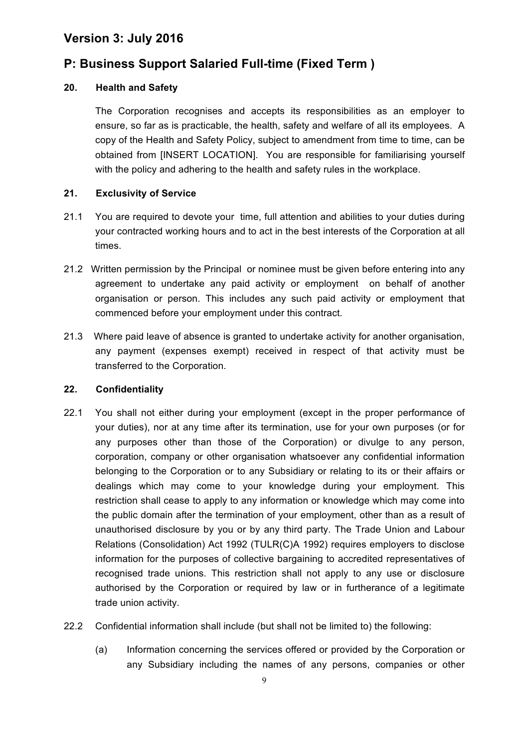### **P: Business Support Salaried Full-time (Fixed Term )**

### **20. Health and Safety**

The Corporation recognises and accepts its responsibilities as an employer to ensure, so far as is practicable, the health, safety and welfare of all its employees. A copy of the Health and Safety Policy, subject to amendment from time to time, can be obtained from [INSERT LOCATION]. You are responsible for familiarising yourself with the policy and adhering to the health and safety rules in the workplace.

#### **21. Exclusivity of Service**

- 21.1 You are required to devote your time, full attention and abilities to your duties during your contracted working hours and to act in the best interests of the Corporation at all times.
- 21.2 Written permission by the Principal or nominee must be given before entering into any agreement to undertake any paid activity or employment on behalf of another organisation or person. This includes any such paid activity or employment that commenced before your employment under this contract.
- 21.3 Where paid leave of absence is granted to undertake activity for another organisation, any payment (expenses exempt) received in respect of that activity must be transferred to the Corporation.

#### **22. Confidentiality**

- 22.1 You shall not either during your employment (except in the proper performance of your duties), nor at any time after its termination, use for your own purposes (or for any purposes other than those of the Corporation) or divulge to any person, corporation, company or other organisation whatsoever any confidential information belonging to the Corporation or to any Subsidiary or relating to its or their affairs or dealings which may come to your knowledge during your employment. This restriction shall cease to apply to any information or knowledge which may come into the public domain after the termination of your employment, other than as a result of unauthorised disclosure by you or by any third party. The Trade Union and Labour Relations (Consolidation) Act 1992 (TULR(C)A 1992) requires employers to disclose information for the purposes of collective bargaining to accredited representatives of recognised trade unions. This restriction shall not apply to any use or disclosure authorised by the Corporation or required by law or in furtherance of a legitimate trade union activity.
- 22.2 Confidential information shall include (but shall not be limited to) the following:
	- (a) Information concerning the services offered or provided by the Corporation or any Subsidiary including the names of any persons, companies or other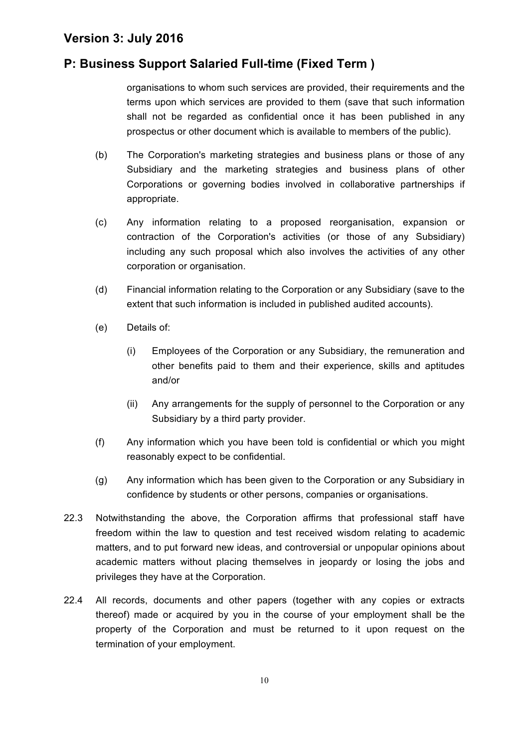### **P: Business Support Salaried Full-time (Fixed Term )**

organisations to whom such services are provided, their requirements and the terms upon which services are provided to them (save that such information shall not be regarded as confidential once it has been published in any prospectus or other document which is available to members of the public).

- (b) The Corporation's marketing strategies and business plans or those of any Subsidiary and the marketing strategies and business plans of other Corporations or governing bodies involved in collaborative partnerships if appropriate.
- (c) Any information relating to a proposed reorganisation, expansion or contraction of the Corporation's activities (or those of any Subsidiary) including any such proposal which also involves the activities of any other corporation or organisation.
- (d) Financial information relating to the Corporation or any Subsidiary (save to the extent that such information is included in published audited accounts).
- (e) Details of:
	- (i) Employees of the Corporation or any Subsidiary, the remuneration and other benefits paid to them and their experience, skills and aptitudes and/or
	- (ii) Any arrangements for the supply of personnel to the Corporation or any Subsidiary by a third party provider.
- (f) Any information which you have been told is confidential or which you might reasonably expect to be confidential.
- (g) Any information which has been given to the Corporation or any Subsidiary in confidence by students or other persons, companies or organisations.
- 22.3 Notwithstanding the above, the Corporation affirms that professional staff have freedom within the law to question and test received wisdom relating to academic matters, and to put forward new ideas, and controversial or unpopular opinions about academic matters without placing themselves in jeopardy or losing the jobs and privileges they have at the Corporation.
- 22.4 All records, documents and other papers (together with any copies or extracts thereof) made or acquired by you in the course of your employment shall be the property of the Corporation and must be returned to it upon request on the termination of your employment.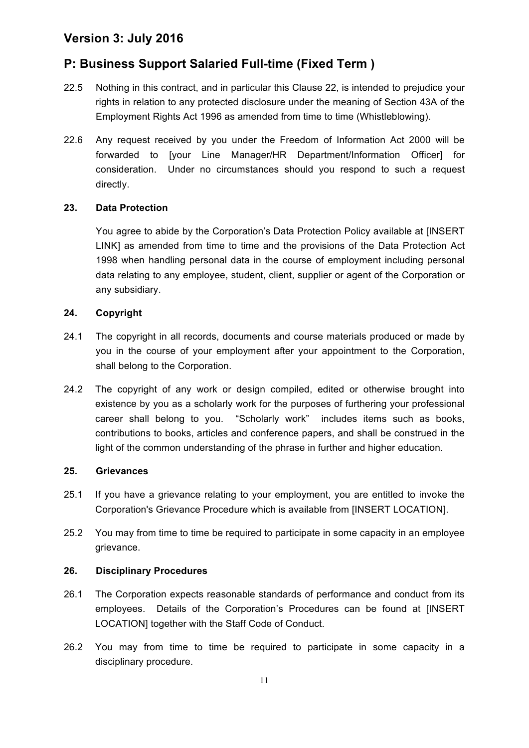## **P: Business Support Salaried Full-time (Fixed Term )**

- 22.5 Nothing in this contract, and in particular this Clause 22, is intended to prejudice your rights in relation to any protected disclosure under the meaning of Section 43A of the Employment Rights Act 1996 as amended from time to time (Whistleblowing).
- 22.6 Any request received by you under the Freedom of Information Act 2000 will be forwarded to [your Line Manager/HR Department/Information Officer] for consideration. Under no circumstances should you respond to such a request directly.

### **23. Data Protection**

You agree to abide by the Corporation's Data Protection Policy available at [INSERT LINK] as amended from time to time and the provisions of the Data Protection Act 1998 when handling personal data in the course of employment including personal data relating to any employee, student, client, supplier or agent of the Corporation or any subsidiary.

#### **24. Copyright**

- 24.1 The copyright in all records, documents and course materials produced or made by you in the course of your employment after your appointment to the Corporation, shall belong to the Corporation.
- 24.2 The copyright of any work or design compiled, edited or otherwise brought into existence by you as a scholarly work for the purposes of furthering your professional career shall belong to you. "Scholarly work" includes items such as books, contributions to books, articles and conference papers, and shall be construed in the light of the common understanding of the phrase in further and higher education.

#### **25. Grievances**

- 25.1 If you have a grievance relating to your employment, you are entitled to invoke the Corporation's Grievance Procedure which is available from [INSERT LOCATION].
- 25.2 You may from time to time be required to participate in some capacity in an employee grievance.

### **26. Disciplinary Procedures**

- 26.1 The Corporation expects reasonable standards of performance and conduct from its employees. Details of the Corporation's Procedures can be found at [INSERT LOCATION] together with the Staff Code of Conduct.
- 26.2 You may from time to time be required to participate in some capacity in a disciplinary procedure.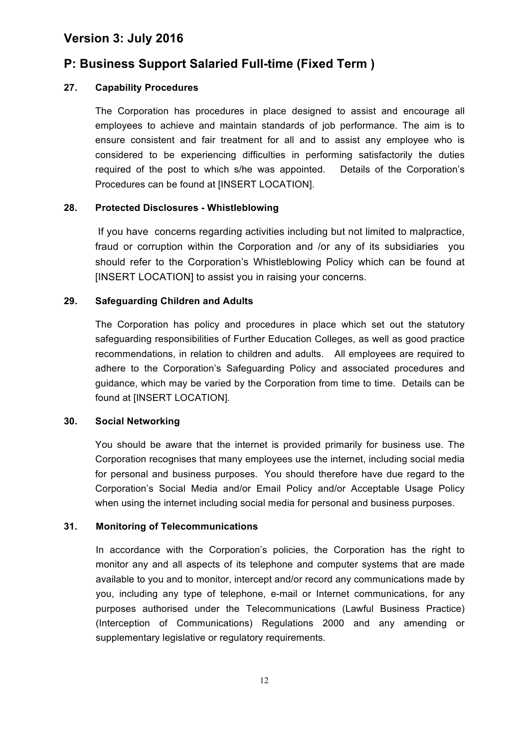### **P: Business Support Salaried Full-time (Fixed Term )**

### **27. Capability Procedures**

The Corporation has procedures in place designed to assist and encourage all employees to achieve and maintain standards of job performance. The aim is to ensure consistent and fair treatment for all and to assist any employee who is considered to be experiencing difficulties in performing satisfactorily the duties required of the post to which s/he was appointed. Details of the Corporation's Procedures can be found at [INSERT LOCATION].

### **28. Protected Disclosures - Whistleblowing**

If you have concerns regarding activities including but not limited to malpractice, fraud or corruption within the Corporation and /or any of its subsidiaries you should refer to the Corporation's Whistleblowing Policy which can be found at [INSERT LOCATION] to assist you in raising your concerns.

### **29. Safeguarding Children and Adults**

The Corporation has policy and procedures in place which set out the statutory safeguarding responsibilities of Further Education Colleges, as well as good practice recommendations, in relation to children and adults. All employees are required to adhere to the Corporation's Safeguarding Policy and associated procedures and guidance, which may be varied by the Corporation from time to time. Details can be found at [INSERT LOCATION].

#### **30. Social Networking**

You should be aware that the internet is provided primarily for business use. The Corporation recognises that many employees use the internet, including social media for personal and business purposes. You should therefore have due regard to the Corporation's Social Media and/or Email Policy and/or Acceptable Usage Policy when using the internet including social media for personal and business purposes.

### **31. Monitoring of Telecommunications**

In accordance with the Corporation's policies, the Corporation has the right to monitor any and all aspects of its telephone and computer systems that are made available to you and to monitor, intercept and/or record any communications made by you, including any type of telephone, e-mail or Internet communications, for any purposes authorised under the Telecommunications (Lawful Business Practice) (Interception of Communications) Regulations 2000 and any amending or supplementary legislative or regulatory requirements.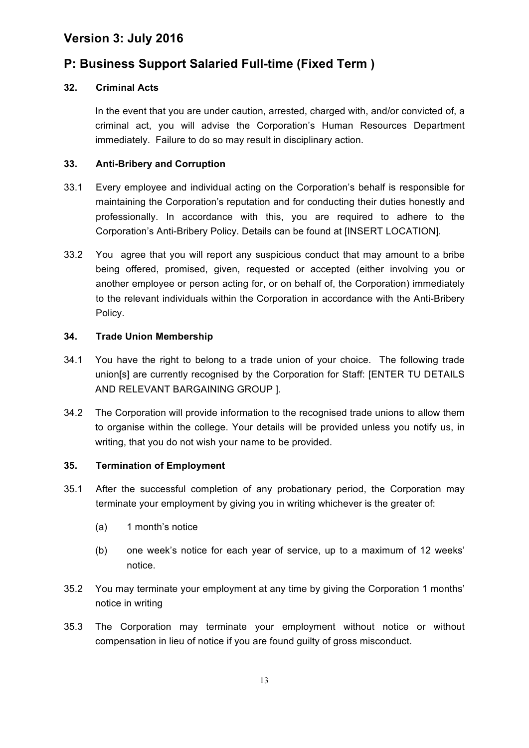### **P: Business Support Salaried Full-time (Fixed Term )**

### **32. Criminal Acts**

In the event that you are under caution, arrested, charged with, and/or convicted of, a criminal act, you will advise the Corporation's Human Resources Department immediately. Failure to do so may result in disciplinary action.

### **33. Anti-Bribery and Corruption**

- 33.1 Every employee and individual acting on the Corporation's behalf is responsible for maintaining the Corporation's reputation and for conducting their duties honestly and professionally. In accordance with this, you are required to adhere to the Corporation's Anti-Bribery Policy. Details can be found at [INSERT LOCATION].
- 33.2 You agree that you will report any suspicious conduct that may amount to a bribe being offered, promised, given, requested or accepted (either involving you or another employee or person acting for, or on behalf of, the Corporation) immediately to the relevant individuals within the Corporation in accordance with the Anti-Bribery Policy.

### **34. Trade Union Membership**

- 34.1 You have the right to belong to a trade union of your choice. The following trade union[s] are currently recognised by the Corporation for Staff: [ENTER TU DETAILS AND RELEVANT BARGAINING GROUP ].
- 34.2 The Corporation will provide information to the recognised trade unions to allow them to organise within the college. Your details will be provided unless you notify us, in writing, that you do not wish your name to be provided.

### **35. Termination of Employment**

- 35.1 After the successful completion of any probationary period, the Corporation may terminate your employment by giving you in writing whichever is the greater of:
	- (a) 1 month's notice
	- (b) one week's notice for each year of service, up to a maximum of 12 weeks' notice.
- 35.2 You may terminate your employment at any time by giving the Corporation 1 months' notice in writing
- 35.3 The Corporation may terminate your employment without notice or without compensation in lieu of notice if you are found guilty of gross misconduct.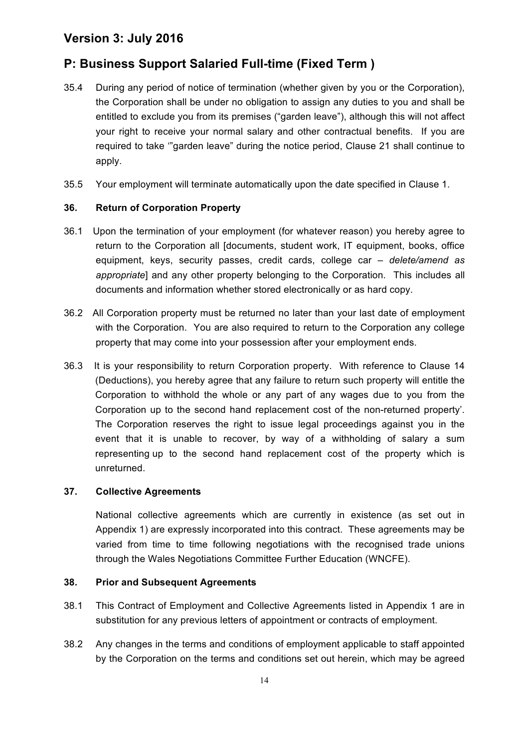## **P: Business Support Salaried Full-time (Fixed Term )**

- 35.4 During any period of notice of termination (whether given by you or the Corporation), the Corporation shall be under no obligation to assign any duties to you and shall be entitled to exclude you from its premises ("garden leave"), although this will not affect your right to receive your normal salary and other contractual benefits. If you are required to take '"garden leave" during the notice period, Clause 21 shall continue to apply.
- 35.5 Your employment will terminate automatically upon the date specified in Clause 1.

#### **36. Return of Corporation Property**

- 36.1 Upon the termination of your employment (for whatever reason) you hereby agree to return to the Corporation all [documents, student work, IT equipment, books, office equipment, keys, security passes, credit cards, college car *– delete/amend as appropriate*] and any other property belonging to the Corporation. This includes all documents and information whether stored electronically or as hard copy.
- 36.2 All Corporation property must be returned no later than your last date of employment with the Corporation. You are also required to return to the Corporation any college property that may come into your possession after your employment ends.
- 36.3 It is your responsibility to return Corporation property. With reference to Clause 14 (Deductions), you hereby agree that any failure to return such property will entitle the Corporation to withhold the whole or any part of any wages due to you from the Corporation up to the second hand replacement cost of the non-returned property'. The Corporation reserves the right to issue legal proceedings against you in the event that it is unable to recover, by way of a withholding of salary a sum representing up to the second hand replacement cost of the property which is unreturned.

#### **37. Collective Agreements**

National collective agreements which are currently in existence (as set out in Appendix 1) are expressly incorporated into this contract. These agreements may be varied from time to time following negotiations with the recognised trade unions through the Wales Negotiations Committee Further Education (WNCFE).

#### **38. Prior and Subsequent Agreements**

- 38.1 This Contract of Employment and Collective Agreements listed in Appendix 1 are in substitution for any previous letters of appointment or contracts of employment.
- 38.2 Any changes in the terms and conditions of employment applicable to staff appointed by the Corporation on the terms and conditions set out herein, which may be agreed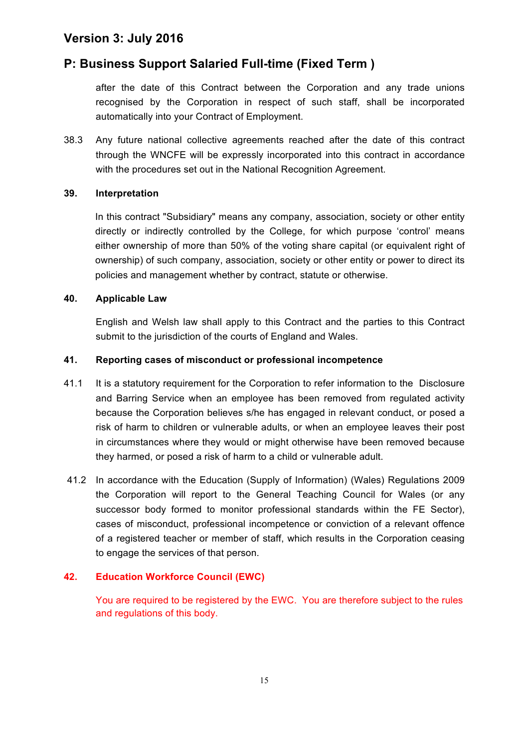### **P: Business Support Salaried Full-time (Fixed Term )**

after the date of this Contract between the Corporation and any trade unions recognised by the Corporation in respect of such staff, shall be incorporated automatically into your Contract of Employment.

38.3 Any future national collective agreements reached after the date of this contract through the WNCFE will be expressly incorporated into this contract in accordance with the procedures set out in the National Recognition Agreement.

#### **39. Interpretation**

In this contract "Subsidiary" means any company, association, society or other entity directly or indirectly controlled by the College, for which purpose 'control' means either ownership of more than 50% of the voting share capital (or equivalent right of ownership) of such company, association, society or other entity or power to direct its policies and management whether by contract, statute or otherwise.

#### **40. Applicable Law**

English and Welsh law shall apply to this Contract and the parties to this Contract submit to the jurisdiction of the courts of England and Wales.

#### **41. Reporting cases of misconduct or professional incompetence**

- 41.1 It is a statutory requirement for the Corporation to refer information to the Disclosure and Barring Service when an employee has been removed from regulated activity because the Corporation believes s/he has engaged in relevant conduct, or posed a risk of harm to children or vulnerable adults, or when an employee leaves their post in circumstances where they would or might otherwise have been removed because they harmed, or posed a risk of harm to a child or vulnerable adult.
- 41.2 In accordance with the Education (Supply of Information) (Wales) Regulations 2009 the Corporation will report to the General Teaching Council for Wales (or any successor body formed to monitor professional standards within the FE Sector), cases of misconduct, professional incompetence or conviction of a relevant offence of a registered teacher or member of staff, which results in the Corporation ceasing to engage the services of that person.

### **42. Education Workforce Council (EWC)**

You are required to be registered by the EWC. You are therefore subject to the rules and regulations of this body.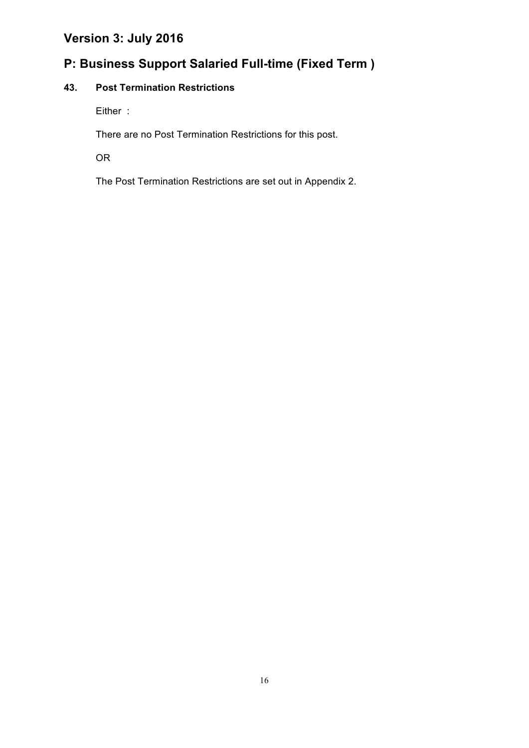## **P: Business Support Salaried Full-time (Fixed Term )**

### **43. Post Termination Restrictions**

Either :

There are no Post Termination Restrictions for this post.

OR

The Post Termination Restrictions are set out in Appendix 2.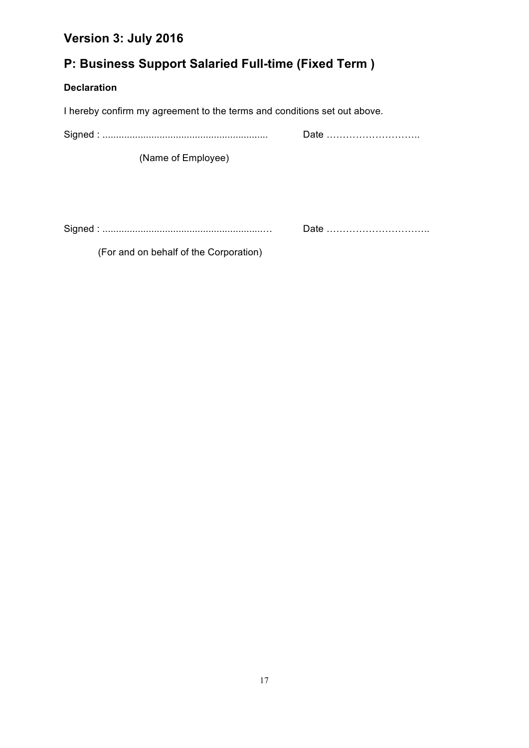## **P: Business Support Salaried Full-time (Fixed Term )**

### **Declaration**

I hereby confirm my agreement to the terms and conditions set out above.

Signed : ............................................................. Date ………………………..

(Name of Employee)

Signed : ...........................................................… Date …………………………..

(For and on behalf of the Corporation)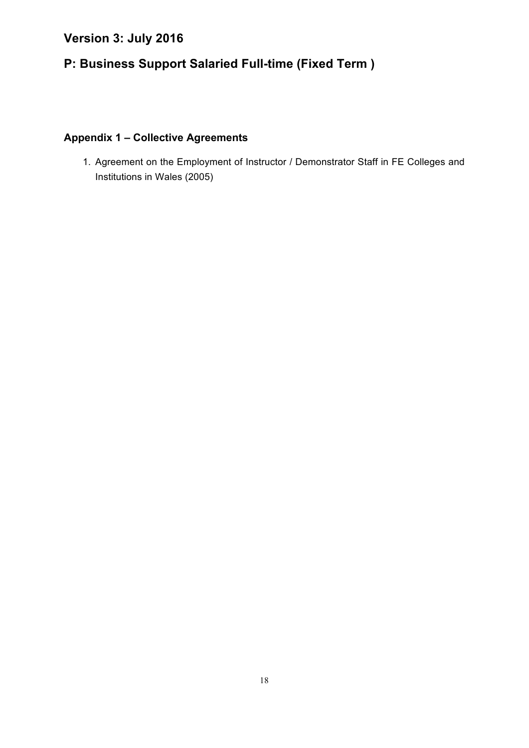## **P: Business Support Salaried Full-time (Fixed Term )**

### **Appendix 1 – Collective Agreements**

1. Agreement on the Employment of Instructor / Demonstrator Staff in FE Colleges and Institutions in Wales (2005)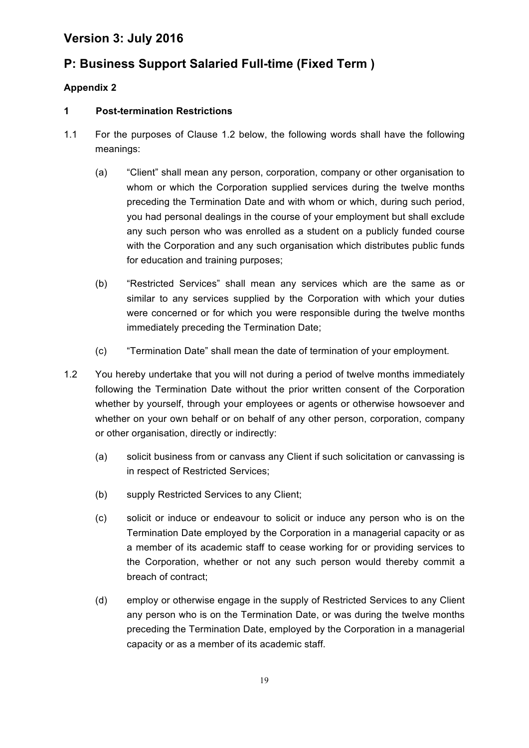## **P: Business Support Salaried Full-time (Fixed Term )**

### **Appendix 2**

### **1 Post-termination Restrictions**

- 1.1 For the purposes of Clause 1.2 below, the following words shall have the following meanings:
	- (a) "Client" shall mean any person, corporation, company or other organisation to whom or which the Corporation supplied services during the twelve months preceding the Termination Date and with whom or which, during such period, you had personal dealings in the course of your employment but shall exclude any such person who was enrolled as a student on a publicly funded course with the Corporation and any such organisation which distributes public funds for education and training purposes;
	- (b) "Restricted Services" shall mean any services which are the same as or similar to any services supplied by the Corporation with which your duties were concerned or for which you were responsible during the twelve months immediately preceding the Termination Date;
	- (c) "Termination Date" shall mean the date of termination of your employment.
- 1.2 You hereby undertake that you will not during a period of twelve months immediately following the Termination Date without the prior written consent of the Corporation whether by yourself, through your employees or agents or otherwise howsoever and whether on your own behalf or on behalf of any other person, corporation, company or other organisation, directly or indirectly:
	- (a) solicit business from or canvass any Client if such solicitation or canvassing is in respect of Restricted Services;
	- (b) supply Restricted Services to any Client;
	- (c) solicit or induce or endeavour to solicit or induce any person who is on the Termination Date employed by the Corporation in a managerial capacity or as a member of its academic staff to cease working for or providing services to the Corporation, whether or not any such person would thereby commit a breach of contract;
	- (d) employ or otherwise engage in the supply of Restricted Services to any Client any person who is on the Termination Date, or was during the twelve months preceding the Termination Date, employed by the Corporation in a managerial capacity or as a member of its academic staff.